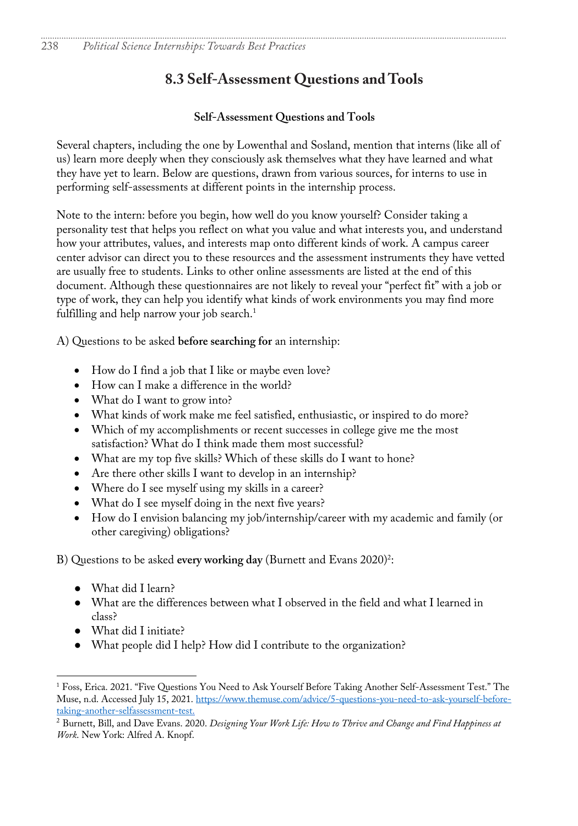# **8.3 Self-Assessment Questions and Tools**

#### **Self-Assessment Questions and Tools**

Several chapters, including the one by Lowenthal and Sosland, mention that interns (like all of us) learn more deeply when they consciously ask themselves what they have learned and what they have yet to learn. Below are questions, drawn from various sources, for interns to use in performing self-assessments at different points in the internship process.

Note to the intern: before you begin, how well do you know yourself? Consider taking a personality test that helps you reflect on what you value and what interests you, and understand how your attributes, values, and interests map onto different kinds of work. A campus career center advisor can direct you to these resources and the assessment instruments they have vetted are usually free to students. Links to other online assessments are listed at the end of this document. Although these questionnaires are not likely to reveal your "perfect fit" with a job or type of work, they can help you identify what kinds of work environments you may find more fulfilling and help narrow your job search. 1

A) Questions to be asked **before searching for** an internship:

- How do I find a job that I like or maybe even love?
- How can I make a difference in the world?
- What do I want to grow into?
- What kinds of work make me feel satisfied, enthusiastic, or inspired to do more?
- Which of my accomplishments or recent successes in college give me the most satisfaction? What do I think made them most successful?
- What are my top five skills? Which of these skills do I want to hone?
- Are there other skills I want to develop in an internship?
- Where do I see myself using my skills in a career?
- What do I see myself doing in the next five years?
- How do I envision balancing my job/internship/career with my academic and family (or other caregiving) obligations?

B) Questions to be asked **every working day** (Burnett and Evans 2020)<sup>2</sup>:

- What did I learn?
- What are the differences between what I observed in the field and what I learned in class?
- What did I initiate?
- What people did I help? How did I contribute to the organization?

<sup>1</sup> Foss, Erica. 2021. "Five Questions You Need to Ask Yourself Before Taking Another Self-Assessment Test." The Muse, n.d. Accessed July 15, 2021. https://www.themuse.com/advice/5-questions-you-need-to-ask-yourself-beforetaking-another-selfassessment-test.

<sup>2</sup> Burnett, Bill, and Dave Evans. 2020. *Designing Your Work Life: How to Thrive and Change and Find Happiness at Work*. New York: Alfred A. Knopf.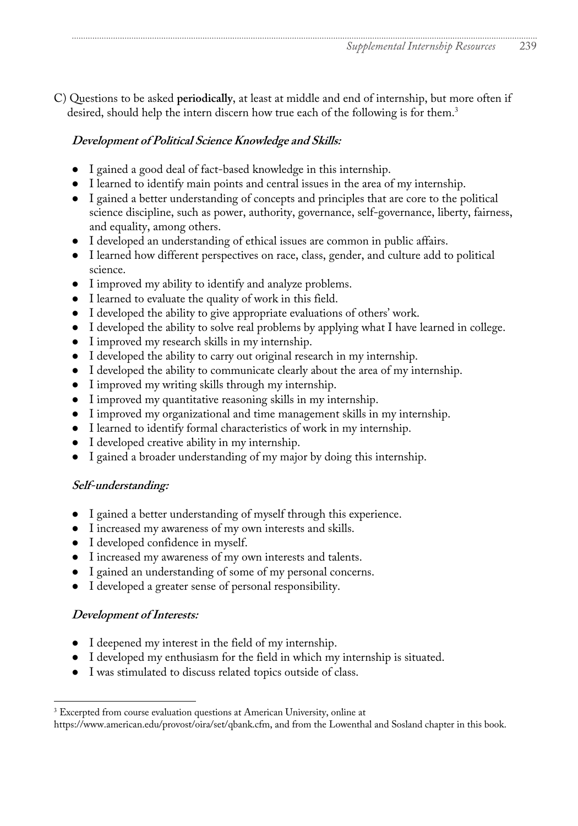C) Questions to be asked **periodically**, at least at middle and end of internship, but more often if desired, should help the intern discern how true each of the following is for them.<sup>3</sup>

## **Development of Political Science Knowledge and Skills:**

- I gained a good deal of fact-based knowledge in this internship.
- I learned to identify main points and central issues in the area of my internship.
- I gained a better understanding of concepts and principles that are core to the political science discipline, such as power, authority, governance, self-governance, liberty, fairness, and equality, among others.
- I developed an understanding of ethical issues are common in public affairs.
- I learned how different perspectives on race, class, gender, and culture add to political science.
- I improved my ability to identify and analyze problems.
- I learned to evaluate the quality of work in this field.
- I developed the ability to give appropriate evaluations of others' work.
- I developed the ability to solve real problems by applying what I have learned in college.
- I improved my research skills in my internship.
- I developed the ability to carry out original research in my internship.
- I developed the ability to communicate clearly about the area of my internship.
- I improved my writing skills through my internship.
- I improved my quantitative reasoning skills in my internship.
- I improved my organizational and time management skills in my internship.
- I learned to identify formal characteristics of work in my internship.
- I developed creative ability in my internship.
- I gained a broader understanding of my major by doing this internship.

## **Self-understanding:**

- I gained a better understanding of myself through this experience.
- I increased my awareness of my own interests and skills.
- I developed confidence in myself.
- I increased my awareness of my own interests and talents.
- I gained an understanding of some of my personal concerns.
- I developed a greater sense of personal responsibility.

## **Development of Interests:**

- I deepened my interest in the field of my internship.
- I developed my enthusiasm for the field in which my internship is situated.
- I was stimulated to discuss related topics outside of class.

<sup>&</sup>lt;sup>3</sup> Excerpted from course evaluation questions at American University, online at

https://www.american.edu/provost/oira/set/qbank.cfm, and from the Lowenthal and Sosland chapter in this book.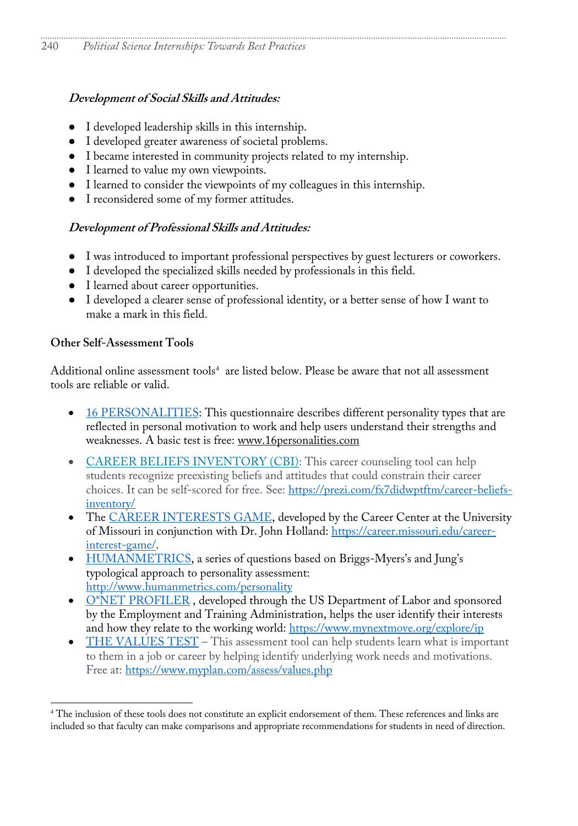### **Development of Social Skills and Attitudes:**

- I developed leadership skills in this internship.
- I developed greater awareness of societal problems.
- I became interested in community projects related to my internship.
- I learned to value my own viewpoints.
- I learned to consider the viewpoints of my colleagues in this internship.
- I reconsidered some of my former attitudes.

### **Development of Professional Skills and Attitudes:**

- I was introduced to important professional perspectives by guest lecturers or coworkers.
- I developed the specialized skills needed by professionals in this field.
- I learned about career opportunities.
- I developed a clearer sense of professional identity, or a better sense of how I want to make a mark in this field.

### **Other Self-Assessment Tools**

Additional online assessment tools<sup>4</sup> are listed below. Please be aware that not all assessment tools are reliable or valid.

- 16 PERSONALITIES: This questionnaire describes different personality types that are reflected in personal motivation to work and help users understand their strengths and weaknesses. A basic test is free: www.16personalities.com
- CAREER BELIEFS INVENTORY (CBI): This career counseling tool can help students recognize preexisting beliefs and attitudes that could constrain their career choices. It can be self-scored for free. See: https://prezi.com/fx7didwptftm/career-beliefsinventory/
- The CAREER INTERESTS GAME, developed by the Career Center at the University of Missouri in conjunction with Dr. John Holland: https://career.missouri.edu/careerinterest-game/.
- HUMANMETRICS, a series of questions based on Briggs-Myers's and Jung's typological approach to personality assessment: http://www.humanmetrics.com/personality
- O\*NET PROFILER, developed through the US Department of Labor and sponsored by the Employment and Training Administration, helps the user identify their interests and how they relate to the working world: https://www.mynextmove.org/explore/ip
- THE VALUES TEST This assessment tool can help students learn what is important to them in a job or career by helping identify underlying work needs and motivations. Free at: https://www.myplan.com/assess/values.php

<sup>4</sup> The inclusion of these tools does not constitute an explicit endorsement of them. These references and links are included so that faculty can make comparisons and appropriate recommendations for students in need of direction.